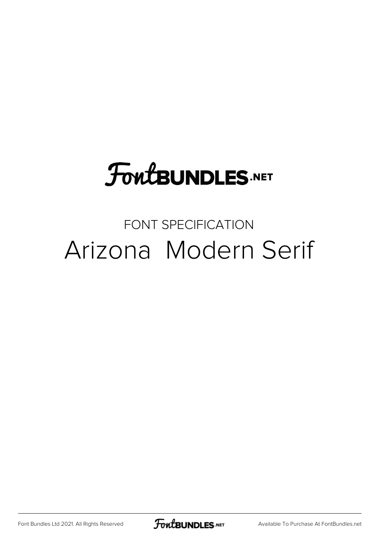# **FoutBUNDLES.NET**

#### FONT SPECIFICATION Arizona Modern Serif

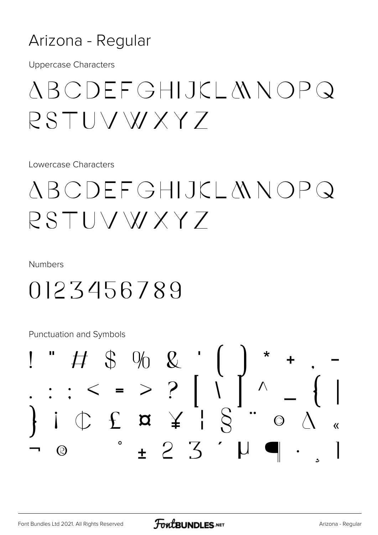#### Arizona - Regular

**Uppercase Characters** 

## ABCDEFGHIJKLANOPQ RSTUVWXYZ

Lowercase Characters

## *ABCDEFGHIJKLANOPQ* RSTUVWXY7

**Numbers** 

### 0123456789

Punctuation and Symbols

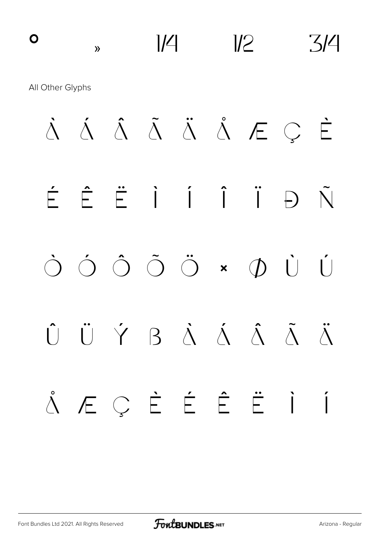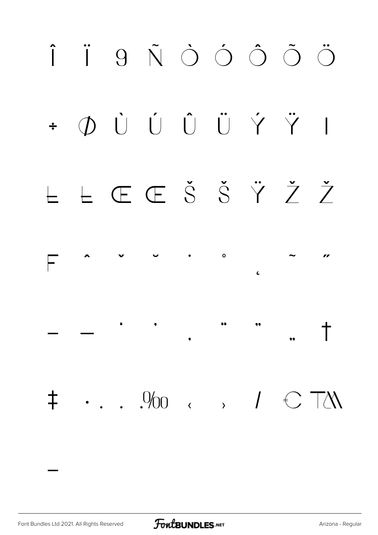